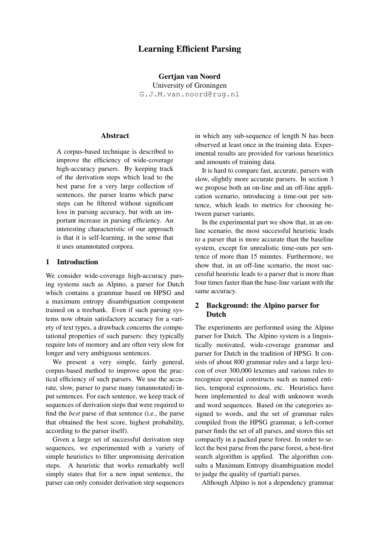# Learning Efficient Parsing

Gertjan van Noord University of Groningen G.J.M.van.noord@rug.nl

### Abstract

A corpus-based technique is described to improve the efficiency of wide-coverage high-accuracy parsers. By keeping track of the derivation steps which lead to the best parse for a very large collection of sentences, the parser learns which parse steps can be filtered without significant loss in parsing accuracy, but with an important increase in parsing efficiency. An interesting characteristic of our approach is that it is self-learning, in the sense that it uses unannotated corpora.

### 1 Introduction

We consider wide-coverage high-accuracy parsing systems such as Alpino, a parser for Dutch which contains a grammar based on HPSG and a maximum entropy disambiguation component trained on a treebank. Even if such parsing systems now obtain satisfactory accuracy for a variety of text types, a drawback concerns the computational properties of such parsers: they typically require lots of memory and are often very slow for longer and very ambiguous sentences.

We present a very simple, fairly general, corpus-based method to improve upon the practical efficiency of such parsers. We use the accurate, slow, parser to parse many (unannotated) input sentences. For each sentence, we keep track of sequences of derivation steps that were required to find the *best* parse of that sentence (i.e., the parse that obtained the best score, highest probability, according to the parser itself).

Given a large set of successful derivation step sequences, we experimented with a variety of simple heuristics to filter unpromising derivation steps. A heuristic that works remarkably well simply states that for a new input sentence, the parser can only consider derivation step sequences in which any sub-sequence of length N has been observed at least once in the training data. Experimental results are provided for various heuristics and amounts of training data.

It is hard to compare fast, accurate, parsers with slow, slightly more accurate parsers. In section 3 we propose both an on-line and an off-line application scenario, introducing a time-out per sentence, which leads to metrics for choosing between parser variants.

In the experimental part we show that, in an online scenario, the most successful heuristic leads to a parser that is more accurate than the baseline system, except for unrealistic time-outs per sentence of more than 15 minutes. Furthermore, we show that, in an off-line scenario, the most successful heuristic leads to a parser that is more than four times faster than the base-line variant with the same accuracy.

## 2 Background: the Alpino parser for Dutch

The experiments are performed using the Alpino parser for Dutch. The Alpino system is a linguistically motivated, wide-coverage grammar and parser for Dutch in the tradition of HPSG. It consists of about 800 grammar rules and a large lexicon of over 300,000 lexemes and various rules to recognize special constructs such as named entities, temporal expressions, etc. Heuristics have been implemented to deal with unknown words and word sequences. Based on the categories assigned to words, and the set of grammar rules compiled from the HPSG grammar, a left-corner parser finds the set of all parses, and stores this set compactly in a packed parse forest. In order to select the best parse from the parse forest, a best-first search algorithm is applied. The algorithm consults a Maximum Entropy disambiguation model to judge the quality of (partial) parses.

Although Alpino is not a dependency grammar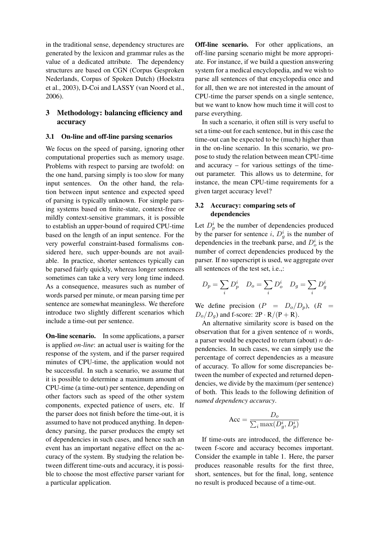in the traditional sense, dependency structures are generated by the lexicon and grammar rules as the value of a dedicated attribute. The dependency structures are based on CGN (Corpus Gesproken Nederlands, Corpus of Spoken Dutch) (Hoekstra et al., 2003), D-Coi and LASSY (van Noord et al., 2006).

## 3 Methodology: balancing efficiency and accuracy

#### 3.1 On-line and off-line parsing scenarios

We focus on the speed of parsing, ignoring other computational properties such as memory usage. Problems with respect to parsing are twofold: on the one hand, parsing simply is too slow for many input sentences. On the other hand, the relation between input sentence and expected speed of parsing is typically unknown. For simple parsing systems based on finite-state, context-free or mildly context-sensitive grammars, it is possible to establish an upper-bound of required CPU-time based on the length of an input sentence. For the very powerful constraint-based formalisms considered here, such upper-bounds are not available. In practice, shorter sentences typically can be parsed fairly quickly, whereas longer sentences sometimes can take a very very long time indeed. As a consequence, measures such as number of words parsed per minute, or mean parsing time per sentence are somewhat meaningless. We therefore introduce two slightly different scenarios which include a time-out per sentence.

On-line scenario. In some applications, a parser is applied *on-line*: an actual user is waiting for the response of the system, and if the parser required minutes of CPU-time, the application would not be successful. In such a scenario, we assume that it is possible to determine a maximum amount of CPU-time (a time-out) per sentence, depending on other factors such as speed of the other system components, expected patience of users, etc. If the parser does not finish before the time-out, it is assumed to have not produced anything. In dependency parsing, the parser produces the empty set of dependencies in such cases, and hence such an event has an important negative effect on the accuracy of the system. By studying the relation between different time-outs and accuracy, it is possible to choose the most effective parser variant for a particular application.

Off-line scenario. For other applications, an off-line parsing scenario might be more appropriate. For instance, if we build a question answering system for a medical encyclopedia, and we wish to parse all sentences of that encyclopedia once and for all, then we are not interested in the amount of CPU-time the parser spends on a single sentence, but we want to know how much time it will cost to parse everything.

In such a scenario, it often still is very useful to set a time-out for each sentence, but in this case the time-out can be expected to be (much) higher than in the on-line scenario. In this scenario, we propose to study the relation between mean CPU-time and accuracy – for various settings of the timeout parameter. This allows us to determine, for instance, the mean CPU-time requirements for a given target accuracy level?

## 3.2 Accuracy: comparing sets of dependencies

Let  $D_p^i$  be the number of dependencies produced by the parser for sentence i,  $D_g^i$  is the number of dependencies in the treebank parse, and  $D_o^i$  is the number of correct dependencies produced by the parser. If no superscript is used, we aggregate over all sentences of the test set, i.e.,:

$$
D_p = \sum_i D_p^i \quad D_o = \sum_i D_o^i \quad D_g = \sum_i D_g^i
$$

We define precision  $(P = D_0/D_p)$ ,  $(R =$  $D_o/D_q$ ) and f-score:  $2P \cdot R/(P + R)$ .

An alternative similarity score is based on the observation that for a given sentence of  $n$  words, a parser would be expected to return (about)  $n$  dependencies. In such cases, we can simply use the percentage of correct dependencies as a measure of accuracy. To allow for some discrepancies between the number of expected and returned dependencies, we divide by the maximum (per sentence) of both. This leads to the following definition of *named dependency accuracy*.

$$
\text{Acc} = \frac{D_o}{\sum_i \max(D_g^i, D_p^i)}
$$

If time-outs are introduced, the difference between f-score and accuracy becomes important. Consider the example in table 1. Here, the parser produces reasonable results for the first three, short, sentences, but for the final, long, sentence no result is produced because of a time-out.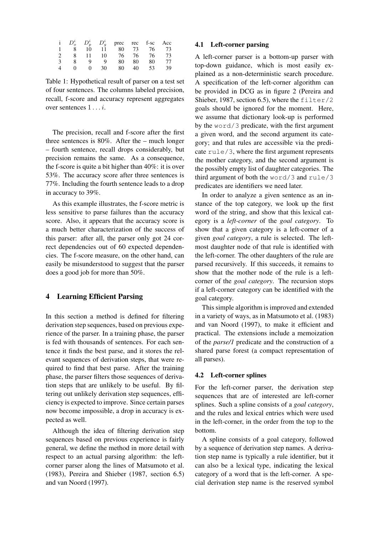|  |    |    | $D_o^i$ $D_p^i$ $D_q^i$ prec rec f-sc Acc |    |    |    |
|--|----|----|-------------------------------------------|----|----|----|
|  | 10 | 11 | 80                                        | 73 | 76 | 73 |
|  | 11 | 10 | 76                                        | 76 | 76 | 73 |
|  | Q  | Q  | 80 -                                      | 80 | 80 | 77 |
|  | 0  | 30 | 80                                        | 40 | 53 | 39 |

Table 1: Hypothetical result of parser on a test set of four sentences. The columns labeled precision, recall, f-score and accuracy represent aggregates over sentences  $1 \ldots i$ .

The precision, recall and f-score after the first three sentences is 80%. After the – much longer – fourth sentence, recall drops considerably, but precision remains the same. As a consequence, the f-score is quite a bit higher than 40%: it is over 53%. The accuracy score after three sentences is 77%. Including the fourth sentence leads to a drop in accuracy to 39%.

As this example illustrates, the f-score metric is less sensitive to parse failures than the accuracy score. Also, it appears that the accuracy score is a much better characterization of the success of this parser: after all, the parser only got 24 correct dependencies out of 60 expected dependencies. The f-score measure, on the other hand, can easily be misunderstood to suggest that the parser does a good job for more than 50%.

## 4 Learning Efficient Parsing

In this section a method is defined for filtering derivation step sequences, based on previous experience of the parser. In a training phase, the parser is fed with thousands of sentences. For each sentence it finds the best parse, and it stores the relevant sequences of derivation steps, that were required to find that best parse. After the training phase, the parser filters those sequences of derivation steps that are unlikely to be useful. By filtering out unlikely derivation step sequences, efficiency is expected to improve. Since certain parses now become impossible, a drop in accuracy is expected as well.

Although the idea of filtering derivation step sequences based on previous experience is fairly general, we define the method in more detail with respect to an actual parsing algorithm: the leftcorner parser along the lines of Matsumoto et al. (1983), Pereira and Shieber (1987, section 6.5) and van Noord (1997).

### 4.1 Left-corner parsing

A left-corner parser is a bottom-up parser with top-down guidance, which is most easily explained as a non-deterministic search procedure. A specification of the left-corner algorithm can be provided in DCG as in figure 2 (Pereira and Shieber, 1987, section 6.5), where the  $filter/2$ goals should be ignored for the moment. Here, we assume that dictionary look-up is performed by the word/3 predicate, with the first argument a given word, and the second argument its category; and that rules are accessible via the predicate rule/3, where the first argument represents the mother category, and the second argument is the possibly empty list of daughter categories. The third argument of both the word/3 and rule/3 predicates are identifiers we need later.

In order to analyze a given sentence as an instance of the top category, we look up the first word of the string, and show that this lexical category is a *left-corner* of the *goal category*. To show that a given category is a left-corner of a given *goal category*, a rule is selected. The leftmost daughter node of that rule is identified with the left-corner. The other daughters of the rule are parsed recursively. If this succeeds, it remains to show that the mother node of the rule is a leftcorner of the *goal category*. The recursion stops if a left-corner category can be identified with the goal category.

This simple algorithm is improved and extended in a variety of ways, as in Matsumoto et al. (1983) and van Noord (1997), to make it efficient and practical. The extensions include a memoization of the *parse/1* predicate and the construction of a shared parse forest (a compact representation of all parses).

### 4.2 Left-corner splines

For the left-corner parser, the derivation step sequences that are of interested are left-corner splines. Such a spline consists of a *goal category*, and the rules and lexical entries which were used in the left-corner, in the order from the top to the bottom.

A spline consists of a goal category, followed by a sequence of derivation step names. A derivation step name is typically a rule identifier, but it can also be a lexical type, indicating the lexical category of a word that is the left-corner. A special derivation step name is the reserved symbol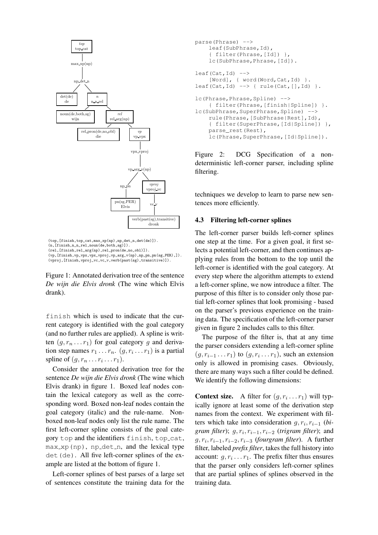

```
(top,[finish,top_cat,max_xp(np),np_det_n,det(de)]).
(n,[\texttt{finish},\texttt{n\_n\_rel},\texttt{noun}(\texttt{de},\texttt{both},\texttt{sg})]).
(rel,[finish,rel_arg(np),rel_pron(de,no_obl)]).
(vp,[finish,vp_vpx,vpx_vproj,vp_arg_v(np),np_pn,pn(sg,PER),]).
(vproj,[finish,vproj_vc,vc_v,verb(past(sg),transitive)]).
```
Figure 1: Annotated derivation tree of the sentence *De wijn die Elvis dronk* (The wine which Elvis drank).

finish which is used to indicate that the current category is identified with the goal category (and no further rules are applied). A spline is written  $(g, r_n \dots r_1)$  for goal category g and derivation step names  $r_1 \dots r_n$ .  $(g, r_i \dots r_1)$  is a partial spline of  $(g, r_n \dots r_i \dots r_1)$ .

Consider the annotated derivation tree for the sentence *De wijn die Elvis dronk* (The wine which Elvis drank) in figure 1. Boxed leaf nodes contain the lexical category as well as the corresponding word. Boxed non-leaf nodes contain the goal category (italic) and the rule-name. Nonboxed non-leaf nodes only list the rule name. The first left-corner spline consists of the goal category top and the identifiers finish, top cat,  $max_x$  (np), np det n, and the lexical type  $det$  (de). All five left-corner splines of the example are listed at the bottom of figure 1.

Left-corner splines of best parses of a large set of sentences constitute the training data for the

```
parse(Phrase) -->
    leaf(SubPhrase,Id),
    { filter(Phrase,[Id]) },
    lc(SubPhrase, Phrase, [Id]).
leaf(Cat,Id) -->
    [Word], { word(Word, Cat, Id) }.
leaf(Cat,Id) \longrightarrow \{ rule(Cat, [],Id) \}.lc(Phrase, Phrase, Spline) -->
    { filter(Phrase,[finish|Spline]) }.
lc(SubPhrase, SuperPhrase, Spline) -->
    rule(Phrase,[SubPhrase|Rest],Id),
    { filter(SuperPhrase,[Id|Spline]) },
    parse_rest(Rest),
    lc(Phrase, SuperPhrase, [Id|Spline]).
```
Figure 2: DCG Specification of a nondeterministic left-corner parser, including spline filtering.

techniques we develop to learn to parse new sentences more efficiently.

#### 4.3 Filtering left-corner splines

The left-corner parser builds left-corner splines one step at the time. For a given goal, it first selects a potential left-corner, and then continues applying rules from the bottom to the top until the left-corner is identified with the goal category. At every step where the algorithm attempts to extend a left-corner spline, we now introduce a filter. The purpose of this filter is to consider only those partial left-corner splines that look promising - based on the parser's previous experience on the training data. The specification of the left-corner parser given in figure 2 includes calls to this filter.

The purpose of the filter is, that at any time the parser considers extending a left-corner spline  $(g, r_{i-1} \ldots r_1)$  to  $(g, r_i \ldots r_1)$ , such an extension only is allowed in promising cases. Obviously, there are many ways such a filter could be defined. We identify the following dimensions:

**Context size.** A filter for  $(g, r_i \dots r_1)$  will typically ignore at least some of the derivation step names from the context. We experiment with filters which take into consideration  $g, r_i, r_{i-1}$  (*bi* $gram$  *filter*);  $g, r_i, r_{i-1}, r_{i-2}$  (*trigram filter*); and  $g, r_i, r_{i-1}, r_{i-2}, r_{i-3}$  (*fourgram filter*). A further filter, labeled *prefix filter*, takes the full history into account:  $g, r_i \ldots r_1$ . The prefix filter thus ensures that the parser only considers left-corner splines that are partial splines of splines observed in the training data.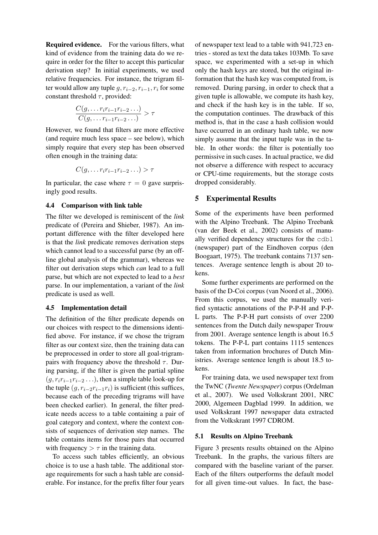Required evidence. For the various filters, what kind of evidence from the training data do we require in order for the filter to accept this particular derivation step? In initial experiments, we used relative frequencies. For instance, the trigram filter would allow any tuple  $q, r_{i-2}, r_{i-1}, r_i$  for some constant threshold  $\tau$ , provided:

$$
\frac{C(g,\ldots r_ir_{i-1}r_{i-2}\ldots)}{C(g,\ldots r_{i-1}r_{i-2}\ldots)} > \tau
$$

However, we found that filters are more effective (and require much less space – see below), which simply require that every step has been observed often enough in the training data:

$$
C(g,\ldots r_ir_{i-1}r_{i-2}\ldots) > \tau
$$

In particular, the case where  $\tau = 0$  gave surprisingly good results.

#### 4.4 Comparison with link table

The filter we developed is reminiscent of the *link* predicate of (Pereira and Shieber, 1987). An important difference with the filter developed here is that the *link* predicate removes derivation steps which cannot lead to a successful parse (by an offline global analysis of the grammar), whereas we filter out derivation steps which *can* lead to a full parse, but which are not expected to lead to a *best* parse. In our implementation, a variant of the *link* predicate is used as well.

#### 4.5 Implementation detail

The definition of the filter predicate depends on our choices with respect to the dimensions identified above. For instance, if we chose the trigram filter as our context size, then the training data can be preprocessed in order to store all goal-trigrampairs with frequency above the threshold  $\tau$ . During parsing, if the filter is given the partial spline  $(g, r_i r_{i-1} r_{i-2} \ldots)$ , then a simple table look-up for the tuple  $(q, r_{i-2}r_{i-1}r_i)$  is sufficient (this suffices, because each of the preceding trigrams will have been checked earlier). In general, the filter predicate needs access to a table containing a pair of goal category and context, where the context consists of sequences of derivation step names. The table contains items for those pairs that occurred with frequency  $> \tau$  in the training data.

To access such tables efficiently, an obvious choice is to use a hash table. The additional storage requirements for such a hash table are considerable. For instance, for the prefix filter four years

of newspaper text lead to a table with 941,723 entries - stored as text the data takes 103Mb. To save space, we experimented with a set-up in which only the hash keys are stored, but the original information that the hash key was computed from, is removed. During parsing, in order to check that a given tuple is allowable, we compute its hash key, and check if the hash key is in the table. If so, the computation continues. The drawback of this method is, that in the case a hash collision would have occurred in an ordinary hash table, we now simply assume that the input tuple was in the table. In other words: the filter is potentially too permissive in such cases. In actual practice, we did not observe a difference with respect to accuracy or CPU-time requirements, but the storage costs dropped considerably.

## 5 Experimental Results

Some of the experiments have been performed with the Alpino Treebank. The Alpino Treebank (van der Beek et al., 2002) consists of manually verified dependency structures for the cdbl (newspaper) part of the Eindhoven corpus (den Boogaart, 1975). The treebank contains 7137 sentences. Average sentence length is about 20 tokens.

Some further experiments are performed on the basis of the D-Coi corpus (van Noord et al., 2006). From this corpus, we used the manually verified syntactic annotations of the P-P-H and P-P-L parts. The P-P-H part consists of over 2200 sentences from the Dutch daily newspaper Trouw from 2001. Average sentence length is about 16.5 tokens. The P-P-L part contains 1115 sentences taken from information brochures of Dutch Ministries. Average sentence length is about 18.5 tokens.

For training data, we used newspaper text from the TwNC (*Twente Newspaper*) corpus (Ordelman et al., 2007). We used Volkskrant 2001, NRC 2000, Algemeen Dagblad 1999. In addition, we used Volkskrant 1997 newspaper data extracted from the Volkskrant 1997 CDROM.

## 5.1 Results on Alpino Treebank

Figure 3 presents results obtained on the Alpino Treebank. In the graphs, the various filters are compared with the baseline variant of the parser. Each of the filters outperforms the default model for all given time-out values. In fact, the base-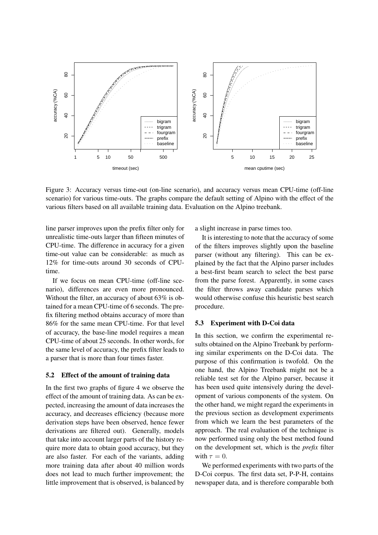

Figure 3: Accuracy versus time-out (on-line scenario), and accuracy versus mean CPU-time (off-line scenario) for various time-outs. The graphs compare the default setting of Alpino with the effect of the various filters based on all available training data. Evaluation on the Alpino treebank.

line parser improves upon the prefix filter only for unrealistic time-outs larger than fifteen minutes of CPU-time. The difference in accuracy for a given time-out value can be considerable: as much as 12% for time-outs around 30 seconds of CPUtime.

If we focus on mean CPU-time (off-line scenario), differences are even more pronounced. Without the filter, an accuracy of about 63% is obtained for a mean CPU-time of 6 seconds. The prefix filtering method obtains accuracy of more than 86% for the same mean CPU-time. For that level of accuracy, the base-line model requires a mean CPU-time of about 25 seconds. In other words, for the same level of accuracy, the prefix filter leads to a parser that is more than four times faster.

#### 5.2 Effect of the amount of training data

In the first two graphs of figure 4 we observe the effect of the amount of training data. As can be expected, increasing the amount of data increases the accuracy, and decreases efficiency (because more derivation steps have been observed, hence fewer derivations are filtered out). Generally, models that take into account larger parts of the history require more data to obtain good accuracy, but they are also faster. For each of the variants, adding more training data after about 40 million words does not lead to much further improvement; the little improvement that is observed, is balanced by a slight increase in parse times too.

It is interesting to note that the accuracy of some of the filters improves slightly upon the baseline parser (without any filtering). This can be explained by the fact that the Alpino parser includes a best-first beam search to select the best parse from the parse forest. Apparently, in some cases the filter throws away candidate parses which would otherwise confuse this heuristic best search procedure.

#### 5.3 Experiment with D-Coi data

In this section, we confirm the experimental results obtained on the Alpino Treebank by performing similar experiments on the D-Coi data. The purpose of this confirmation is twofold. On the one hand, the Alpino Treebank might not be a reliable test set for the Alpino parser, because it has been used quite intensively during the development of various components of the system. On the other hand, we might regard the experiments in the previous section as development experiments from which we learn the best parameters of the approach. The real evaluation of the technique is now performed using only the best method found on the development set, which is the *prefix* filter with  $\tau = 0$ .

We performed experiments with two parts of the D-Coi corpus. The first data set, P-P-H, contains newspaper data, and is therefore comparable both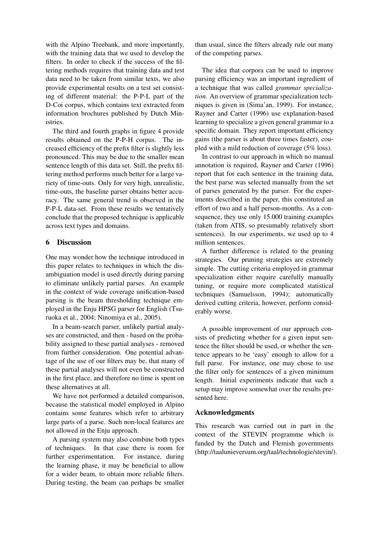with the Alpino Treebank, and more importantly, with the training data that we used to develop the filters. In order to check if the success of the filtering methods requires that training data and test data need to be taken from similar texts, we also provide experimental results on a test set consisting of different material: the P-P-L part of the D-Coi corpus, which contains text extracted from information brochures published by Dutch Ministries.

The third and fourth graphs in figure 4 provide results obtained on the P-P-H corpus. The increased efficiency of the prefix filter is slightly less pronounced. This may be due to the smaller mean sentence length of this data set. Still, the prefix filtering method performs much better for a large variety of time-outs. Only for very high, unrealistic, time-outs, the baseline parser obtains better accuracy. The same general trend is observed in the P-P-L data-set. From these results we tentatively conclude that the proposed technique is applicable across text types and domains.

#### 6 Discussion

One may wonder how the technique introduced in this paper relates to techniques in which the disambiguation model is used directly during parsing to eliminate unlikely partial parses. An example in the context of wide coverage unification-based parsing is the beam thresholding technique employed in the Enju HPSG parser for English (Tsuruoka et al., 2004; Ninomiya et al., 2005).

In a beam-search parser, unlikely partial analyses are constructed, and then - based on the probability assigned to these partial analyses - removed from further consideration. One potential advantage of the use of our filters may be, that many of these partial analyses will not even be constructed in the first place, and therefore no time is spent on these alternatives at all.

We have not performed a detailed comparison, because the statistical model employed in Alpino contains some features which refer to arbitrary large parts of a parse. Such non-local features are not allowed in the Enju approach.

A parsing system may also combine both types of techniques. In that case there is room for further experimentation. For instance, during the learning phase, it may be beneficial to allow for a wider beam, to obtain more reliable filters. During testing, the beam can perhaps be smaller than usual, since the filters already rule out many of the competing parses.

The idea that corpora can be used to improve parsing efficiency was an important ingredient of a technique that was called *grammar specialization*. An overview of grammar specialization techniques is given in (Sima'an, 1999). For instance, Rayner and Carter (1996) use explanation-based learning to specialize a given general grammar to a specific domain. They report important efficiency gains (the parser is about three times faster), coupled with a mild reduction of coverage (5% loss).

In contrast to our approach in which no manual annotation is required, Rayner and Carter (1996) report that for each sentence in the training data, the best parse was selected manually from the set of parses generated by the parser. For the experiments described in the paper, this constituted an effort of two and a half person-months. As a consequence, they use only 15.000 training examples (taken from ATIS, so presumably relatively short sentences). In our experiments, we used up to 4 million sentences.

A further difference is related to the pruning strategies. Our pruning strategies are extremely simple. The cutting criteria employed in grammar specialization either require carefully manually tuning, or require more complicated statistical techniques (Samuelsson, 1994); automatically derived cutting criteria, however, perform considerably worse.

A possible improvement of our approach consists of predicting whether for a given input sentence the filter should be used, or whether the sentence appears to be 'easy' enough to allow for a full parse. For instance, one may chose to use the filter only for sentences of a given minimum length. Initial experiments indicate that such a setup may improve somewhat over the results presented here.

### Acknowledgments

This research was carried out in part in the context of the STEVIN programme which is funded by the Dutch and Flemish governments (http://taalunieversum.org/taal/technologie/stevin/).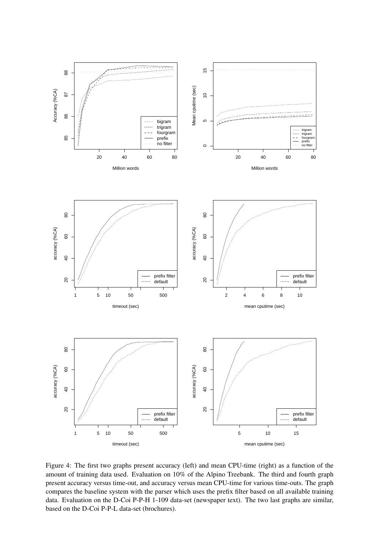

Figure 4: The first two graphs present accuracy (left) and mean CPU-time (right) as a function of the amount of training data used. Evaluation on 10% of the Alpino Treebank. The third and fourth graph present accuracy versus time-out, and accuracy versus mean CPU-time for various time-outs. The graph compares the baseline system with the parser which uses the prefix filter based on all available training data. Evaluation on the D-Coi P-P-H 1-109 data-set (newspaper text). The two last graphs are similar, based on the D-Coi P-P-L data-set (brochures).